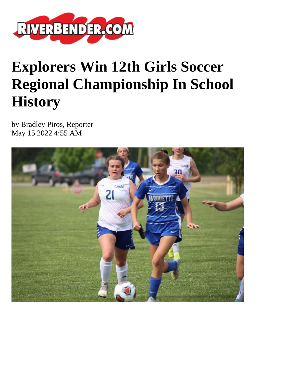

## **Explorers Win 12th Girls Soccer Regional Championship In School History**

by Bradley Piros, Reporter May 15 2022 4:55 AM

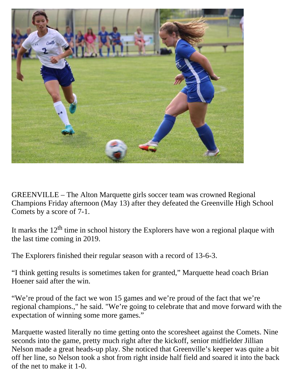

GREENVILLE – The Alton Marquette girls soccer team was crowned Regional Champions Friday afternoon (May 13) after they defeated the Greenville High School Comets by a score of 7-1.

It marks the  $12<sup>th</sup>$  time in school history the Explorers have won a regional plaque with the last time coming in 2019.

The Explorers finished their regular season with a record of 13-6-3.

"I think getting results is sometimes taken for granted," Marquette head coach Brian Hoener said after the win.

"We're proud of the fact we won 15 games and we're proud of the fact that we're regional champions.," he said. "We're going to celebrate that and move forward with the expectation of winning some more games."

Marquette wasted literally no time getting onto the scoresheet against the Comets. Nine seconds into the game, pretty much right after the kickoff, senior midfielder Jillian Nelson made a great heads-up play. She noticed that Greenville's keeper was quite a bit off her line, so Nelson took a shot from right inside half field and soared it into the back of the net to make it 1-0.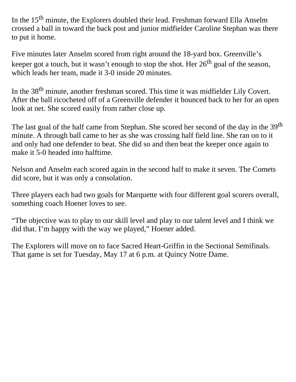In the 15<sup>th</sup> minute, the Explorers doubled their lead. Freshman forward Ella Anselm crossed a ball in toward the back post and junior midfielder Caroline Stephan was there to put it home.

Five minutes later Anselm scored from right around the 18-yard box. Greenville's keeper got a touch, but it wasn't enough to stop the shot. Her  $26<sup>th</sup>$  goal of the season, which leads her team, made it 3-0 inside 20 minutes.

In the  $38<sup>th</sup>$  minute, another freshman scored. This time it was midfielder Lily Covert. After the ball ricocheted off of a Greenville defender it bounced back to her for an open look at net. She scored easily from rather close up.

The last goal of the half came from Stephan. She scored her second of the day in the 39<sup>th</sup> minute. A through ball came to her as she was crossing half field line. She ran on to it and only had one defender to beat. She did so and then beat the keeper once again to make it 5-0 headed into halftime.

Nelson and Anselm each scored again in the second half to make it seven. The Comets did score, but it was only a consolation.

Three players each had two goals for Marquette with four different goal scorers overall, something coach Hoener loves to see.

"The objective was to play to our skill level and play to our talent level and I think we did that. I'm happy with the way we played," Hoener added.

The Explorers will move on to face Sacred Heart-Griffin in the Sectional Semifinals. That game is set for Tuesday, May 17 at 6 p.m. at Quincy Notre Dame.